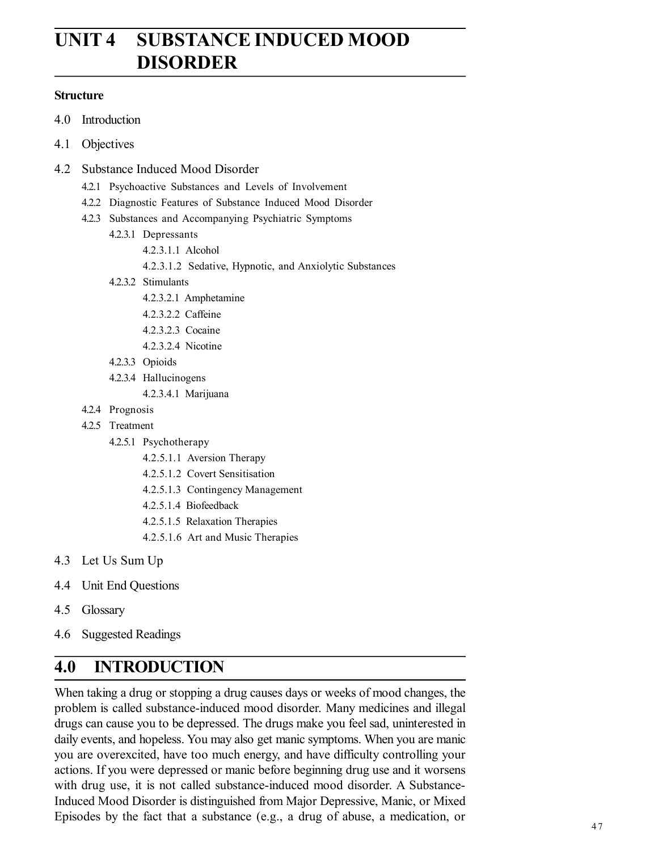# **UNIT 4 SUBSTANCE INDUCED MOOD DISORDER**

#### **Structure**

- 4.0 Introduction
- 4.1 Objectives
- 4.2 Substance Induced Mood Disorder
	- 4.2.1 Psychoactive Substances and Levels of Involvement
	- 4.2.2 Diagnostic Features of Substance Induced Mood Disorder
	- 4.2.3 Substances and Accompanying Psychiatric Symptoms
		- 4.2.3.1 Depressants
			- 4.2.3.1.1 Alcohol
			- 4.2.3.1.2 Sedative, Hypnotic, and Anxiolytic Substances
		- 4.2.3.2 Stimulants
			- 4.2.3.2.1 Amphetamine
			- 4.2.3.2.2 Caffeine
			- 4.2.3.2.3 Cocaine
			- 4.2.3.2.4 Nicotine
		- 4.2.3.3 Opioids
		- 4.2.3.4 Hallucinogens
			- 4.2.3.4.1 Marijuana
	- 4.2.4 Prognosis
	- 4.2.5 Treatment
		- 4.2.5.1 Psychotherapy
			- 4.2.5.1.1 Aversion Therapy
			- 4.2.5.1.2 Covert Sensitisation
			- 4.2.5.1.3 Contingency Management
			- 4.2.5.1.4 Biofeedback
			- 4.2.5.1.5 Relaxation Therapies
			- 4.2.5.1.6 Art and Music Therapies
- 4.3 Let Us Sum Up
- 4.4 Unit End Questions
- 4.5 Glossary
- 4.6 Suggested Readings

## **4.0 INTRODUCTION**

When taking a drug or stopping a drug causes days or weeks of mood changes, the problem is called substance-induced mood disorder. Many medicines and illegal drugs can cause you to be depressed. The drugs make you feel sad, uninterested in daily events, and hopeless. You may also get manic symptoms. When you are manic you are overexcited, have too much energy, and have difficulty controlling your actions. If you were depressed or manic before beginning drug use and it worsens with drug use, it is not called substance-induced mood disorder. A Substance-Induced Mood Disorder is distinguished from Major Depressive, Manic, or Mixed Episodes by the fact that a substance (e.g., a drug of abuse, a medication, or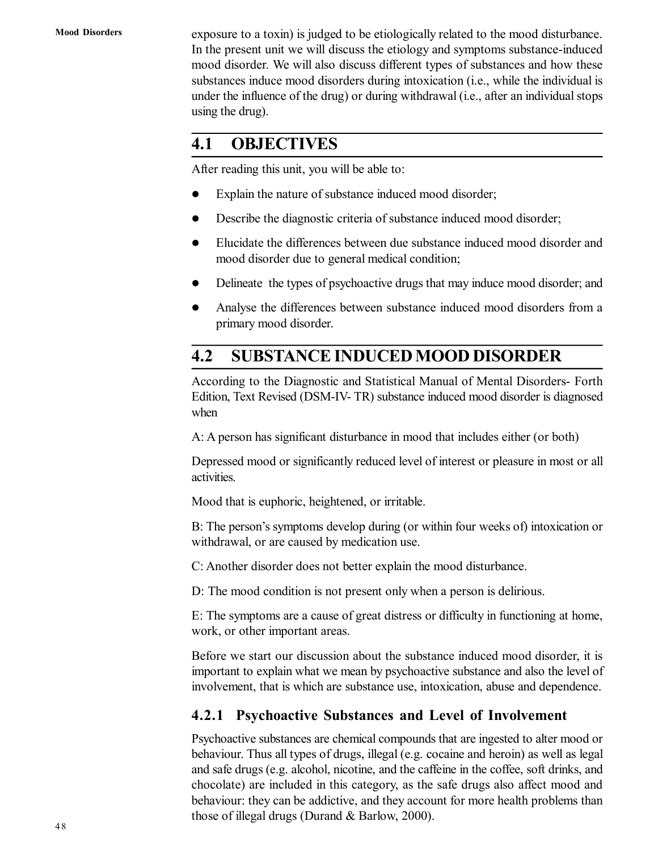**Mood Disorders**

exposure to a toxin) is judged to be etiologically related to the mood disturbance. In the present unit we will discuss the etiology and symptoms substance-induced mood disorder. We will also discuss different types of substances and how these substances induce mood disorders during intoxication (i.e., while the individual is under the influence of the drug) or during withdrawal (i.e., after an individual stops using the drug).

## **4.1 OBJECTIVES**

After reading this unit, you will be able to:

- Explain the nature of substance induced mood disorder;
- Describe the diagnostic criteria of substance induced mood disorder;
- Elucidate the differences between due substance induced mood disorder and mood disorder due to general medical condition;
- Delineate the types of psychoactive drugs that may induce mood disorder; and
- Analyse the differences between substance induced mood disorders from a primary mood disorder.

# **4.2 SUBSTANCE INDUCED MOOD DISORDER**

According to the Diagnostic and Statistical Manual of Mental Disorders- Forth Edition, Text Revised (DSM-IV- TR) substance induced mood disorder is diagnosed when

A: A person has significant disturbance in mood that includes either (or both)

Depressed mood or significantly reduced level of interest or pleasure in most or all activities.

Mood that is euphoric, heightened, or irritable.

B: The person's symptoms develop during (or within four weeks of) intoxication or withdrawal, or are caused by medication use.

C: Another disorder does not better explain the mood disturbance.

D: The mood condition is not present only when a person is delirious.

E: The symptoms are a cause of great distress or difficulty in functioning at home, work, or other important areas.

Before we start our discussion about the substance induced mood disorder, it is important to explain what we mean by psychoactive substance and also the level of involvement, that is which are substance use, intoxication, abuse and dependence.

## **4.2.1 Psychoactive Substances and Level of Involvement**

Psychoactive substances are chemical compounds that are ingested to alter mood or behaviour. Thus all types of drugs, illegal (e.g. cocaine and heroin) as well as legal and safe drugs (e.g. alcohol, nicotine, and the caffeine in the coffee, soft drinks, and chocolate) are included in this category, as the safe drugs also affect mood and behaviour: they can be addictive, and they account for more health problems than those of illegal drugs (Durand & Barlow, 2000).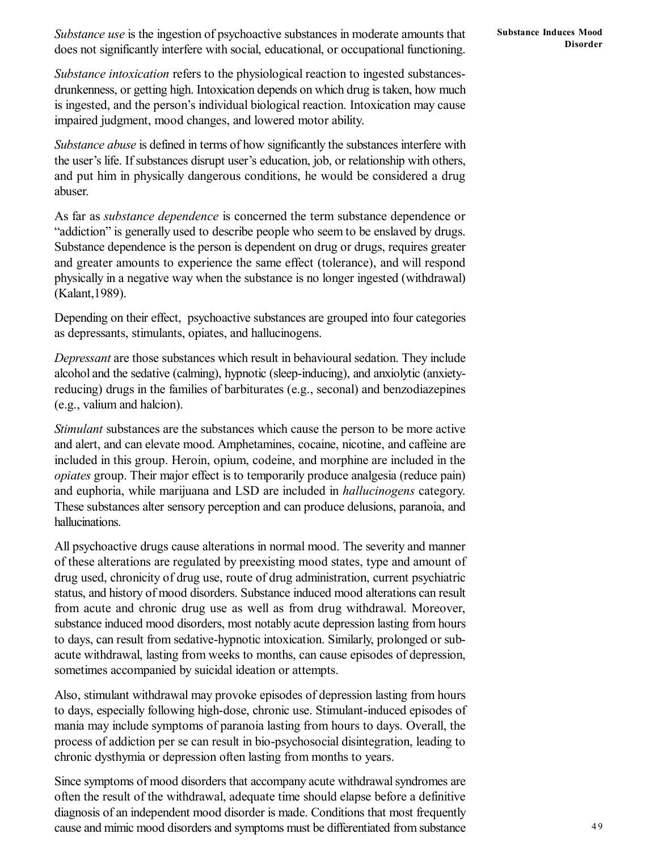*Substance use* is the ingestion of psychoactive substances in moderate amounts that does not significantly interfere with social, educational, or occupational functioning.

*Substance intoxication* refers to the physiological reaction to ingested substancesdrunkenness, or getting high. Intoxication depends on which drug is taken, how much is ingested, and the person's individual biological reaction. Intoxication may cause impaired judgment, mood changes, and lowered motor ability.

*Substance abuse* is defined in terms of how significantly the substances interfere with the user's life. If substances disrupt user's education, job, or relationship with others, and put him in physically dangerous conditions, he would be considered a drug abuser.

As far as *substance dependence* is concerned the term substance dependence or "addiction" is generally used to describe people who seem to be enslaved by drugs. Substance dependence is the person is dependent on drug or drugs, requires greater and greater amounts to experience the same effect (tolerance), and will respond physically in a negative way when the substance is no longer ingested (withdrawal) (Kalant,1989).

Depending on their effect, psychoactive substances are grouped into four categories as depressants, stimulants, opiates, and hallucinogens.

*Depressant* are those substances which result in behavioural sedation. They include alcohol and the sedative (calming), hypnotic (sleep-inducing), and anxiolytic (anxietyreducing) drugs in the families of barbiturates (e.g., seconal) and benzodiazepines (e.g., valium and halcion).

*Stimulant* substances are the substances which cause the person to be more active and alert, and can elevate mood. Amphetamines, cocaine, nicotine, and caffeine are included in this group. Heroin, opium, codeine, and morphine are included in the *opiates* group. Their major effect is to temporarily produce analgesia (reduce pain) and euphoria, while marijuana and LSD are included in *hallucinogens* category. These substances alter sensory perception and can produce delusions, paranoia, and hallucinations.

All psychoactive drugs cause alterations in normal mood. The severity and manner of these alterations are regulated by preexisting mood states, type and amount of drug used, chronicity of drug use, route of drug administration, current psychiatric status, and history of mood disorders. Substance induced mood alterations can result from acute and chronic drug use as well as from drug withdrawal. Moreover, substance induced mood disorders, most notably acute depression lasting from hours to days, can result from sedative-hypnotic intoxication. Similarly, prolonged or subacute withdrawal, lasting from weeks to months, can cause episodes of depression, sometimes accompanied by suicidal ideation or attempts.

Also, stimulant withdrawal may provoke episodes of depression lasting from hours to days, especially following high-dose, chronic use. Stimulant-induced episodes of mania may include symptoms of paranoia lasting from hours to days. Overall, the process of addiction per se can result in bio-psychosocial disintegration, leading to chronic dysthymia or depression often lasting from months to years.

Since symptoms of mood disorders that accompany acute withdrawal syndromes are often the result of the withdrawal, adequate time should elapse before a definitive diagnosis of an independent mood disorder is made. Conditions that most frequently cause and mimic mood disorders and symptoms must be differentiated from substance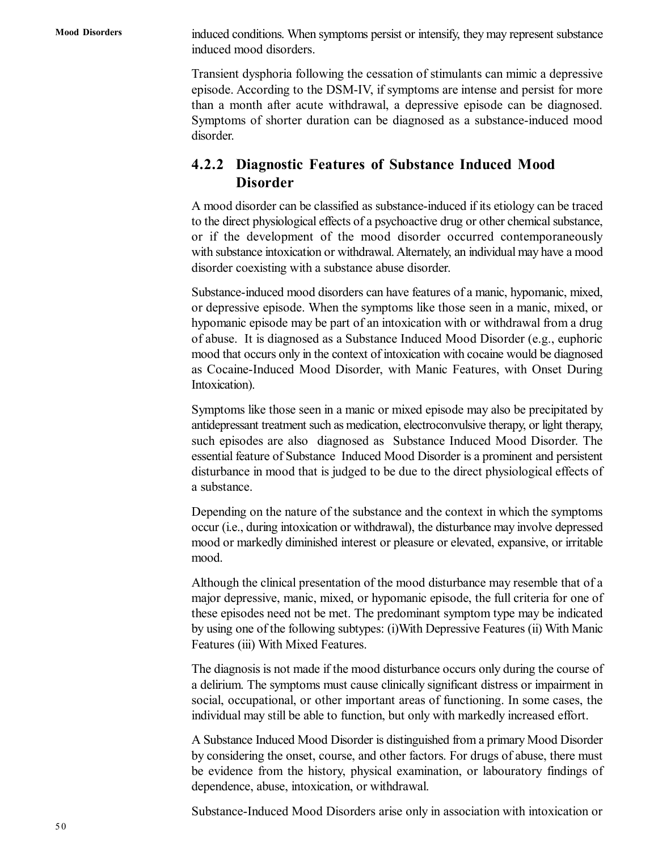**Mood Disorders**

induced conditions. When symptoms persist or intensify, they may represent substance induced mood disorders.

Transient dysphoria following the cessation of stimulants can mimic a depressive episode. According to the DSM-IV, if symptoms are intense and persist for more than a month after acute withdrawal, a depressive episode can be diagnosed. Symptoms of shorter duration can be diagnosed as a substance-induced mood disorder.

## **4.2.2 Diagnostic Features of Substance Induced Mood Disorder**

A mood disorder can be classified as substance-induced if its etiology can be traced to the direct physiological effects of a psychoactive drug or other chemical substance, or if the development of the mood disorder occurred contemporaneously with substance intoxication or withdrawal. Alternately, an individual may have a mood disorder coexisting with a substance abuse disorder.

Substance-induced mood disorders can have features of a manic, hypomanic, mixed, or depressive episode. When the symptoms like those seen in a manic, mixed, or hypomanic episode may be part of an intoxication with or withdrawal from a drug of abuse. It is diagnosed as a Substance Induced Mood Disorder (e.g., euphoric mood that occurs only in the context of intoxication with cocaine would be diagnosed as Cocaine-Induced Mood Disorder, with Manic Features, with Onset During Intoxication).

Symptoms like those seen in a manic or mixed episode may also be precipitated by antidepressant treatment such as medication, electroconvulsive therapy, or light therapy, such episodes are also diagnosed as Substance Induced Mood Disorder. The essential feature of Substance Induced Mood Disorder is a prominent and persistent disturbance in mood that is judged to be due to the direct physiological effects of a substance.

Depending on the nature of the substance and the context in which the symptoms occur (i.e., during intoxication or withdrawal), the disturbance may involve depressed mood or markedly diminished interest or pleasure or elevated, expansive, or irritable mood.

Although the clinical presentation of the mood disturbance may resemble that of a major depressive, manic, mixed, or hypomanic episode, the full criteria for one of these episodes need not be met. The predominant symptom type may be indicated by using one of the following subtypes: (i)With Depressive Features (ii) With Manic Features (iii) With Mixed Features.

The diagnosis is not made if the mood disturbance occurs only during the course of a delirium. The symptoms must cause clinically significant distress or impairment in social, occupational, or other important areas of functioning. In some cases, the individual may still be able to function, but only with markedly increased effort.

A Substance Induced Mood Disorder is distinguished from a primary Mood Disorder by considering the onset, course, and other factors. For drugs of abuse, there must be evidence from the history, physical examination, or labouratory findings of dependence, abuse, intoxication, or withdrawal.

Substance-Induced Mood Disorders arise only in association with intoxication or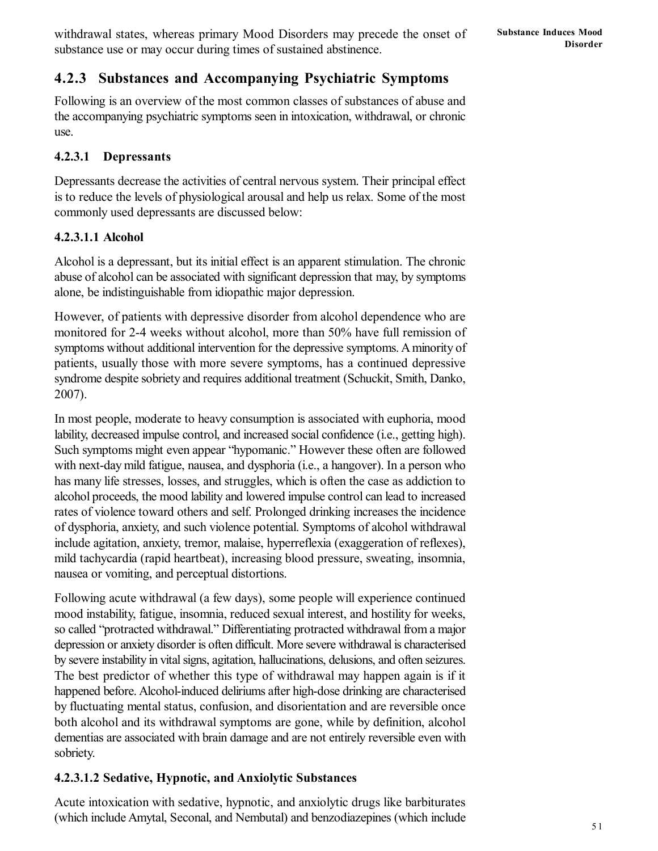## **4.2.3 Substances and Accompanying Psychiatric Symptoms**

Following is an overview of the most common classes of substances of abuse and the accompanying psychiatric symptoms seen in intoxication, withdrawal, or chronic use.

### **4.2.3.1 Depressants**

Depressants decrease the activities of central nervous system. Their principal effect is to reduce the levels of physiological arousal and help us relax. Some of the most commonly used depressants are discussed below:

### **4.2.3.1.1 Alcohol**

Alcohol is a depressant, but its initial effect is an apparent stimulation. The chronic abuse of alcohol can be associated with significant depression that may, by symptoms alone, be indistinguishable from idiopathic major depression.

However, of patients with depressive disorder from alcohol dependence who are monitored for 2-4 weeks without alcohol, more than 50% have full remission of symptoms without additional intervention for the depressive symptoms. A minority of patients, usually those with more severe symptoms, has a continued depressive syndrome despite sobriety and requires additional treatment (Schuckit, Smith, Danko, 2007).

In most people, moderate to heavy consumption is associated with euphoria, mood lability, decreased impulse control, and increased social confidence (i.e., getting high). Such symptoms might even appear "hypomanic." However these often are followed with next-day mild fatigue, nausea, and dysphoria (i.e., a hangover). In a person who has many life stresses, losses, and struggles, which is often the case as addiction to alcohol proceeds, the mood lability and lowered impulse control can lead to increased rates of violence toward others and self. Prolonged drinking increases the incidence of dysphoria, anxiety, and such violence potential. Symptoms of alcohol withdrawal include agitation, anxiety, tremor, malaise, hyperreflexia (exaggeration of reflexes), mild tachycardia (rapid heartbeat), increasing blood pressure, sweating, insomnia, nausea or vomiting, and perceptual distortions.

Following acute withdrawal (a few days), some people will experience continued mood instability, fatigue, insomnia, reduced sexual interest, and hostility for weeks, so called "protracted withdrawal." Differentiating protracted withdrawal from a major depression or anxiety disorder is often difficult. More severe withdrawal is characterised by severe instability in vital signs, agitation, hallucinations, delusions, and often seizures. The best predictor of whether this type of withdrawal may happen again is if it happened before. Alcohol-induced deliriums after high-dose drinking are characterised by fluctuating mental status, confusion, and disorientation and are reversible once both alcohol and its withdrawal symptoms are gone, while by definition, alcohol dementias are associated with brain damage and are not entirely reversible even with sobriety.

### **4.2.3.1.2 Sedative, Hypnotic, and Anxiolytic Substances**

Acute intoxication with sedative, hypnotic, and anxiolytic drugs like barbiturates (which include Amytal, Seconal, and Nembutal) and benzodiazepines (which include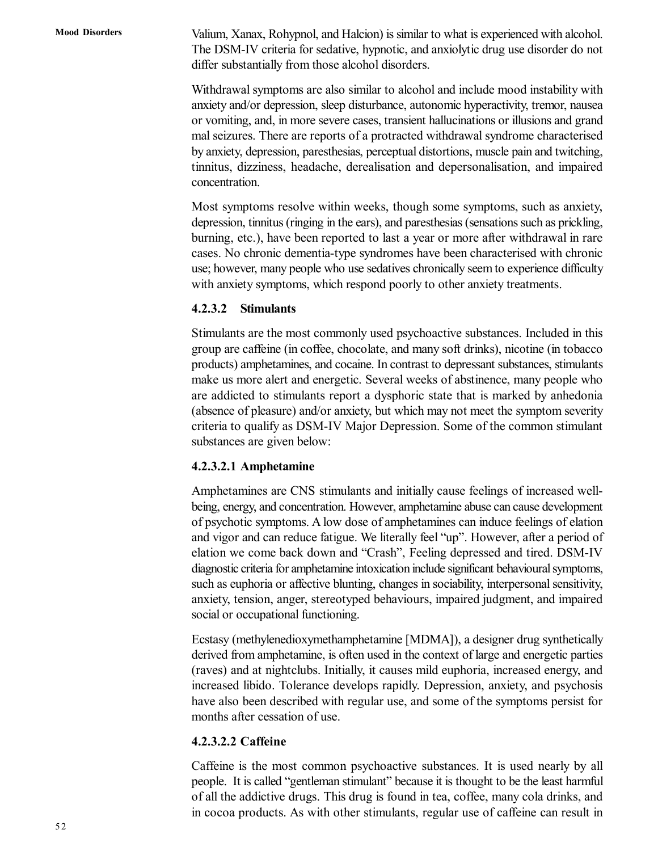Valium, Xanax, Rohypnol, and Halcion) is similar to what is experienced with alcohol. The DSM-IV criteria for sedative, hypnotic, and anxiolytic drug use disorder do not differ substantially from those alcohol disorders.

Withdrawal symptoms are also similar to alcohol and include mood instability with anxiety and/or depression, sleep disturbance, autonomic hyperactivity, tremor, nausea or vomiting, and, in more severe cases, transient hallucinations or illusions and grand mal seizures. There are reports of a protracted withdrawal syndrome characterised by anxiety, depression, paresthesias, perceptual distortions, muscle pain and twitching, tinnitus, dizziness, headache, derealisation and depersonalisation, and impaired concentration.

Most symptoms resolve within weeks, though some symptoms, such as anxiety, depression, tinnitus (ringing in the ears), and paresthesias (sensations such as prickling, burning, etc.), have been reported to last a year or more after withdrawal in rare cases. No chronic dementia-type syndromes have been characterised with chronic use; however, many people who use sedatives chronically seem to experience difficulty with anxiety symptoms, which respond poorly to other anxiety treatments.

#### **4.2.3.2 Stimulants**

Stimulants are the most commonly used psychoactive substances. Included in this group are caffeine (in coffee, chocolate, and many soft drinks), nicotine (in tobacco products) amphetamines, and cocaine. In contrast to depressant substances, stimulants make us more alert and energetic. Several weeks of abstinence, many people who are addicted to stimulants report a dysphoric state that is marked by anhedonia (absence of pleasure) and/or anxiety, but which may not meet the symptom severity criteria to qualify as DSM-IV Major Depression. Some of the common stimulant substances are given below:

#### **4.2.3.2.1 Amphetamine**

Amphetamines are CNS stimulants and initially cause feelings of increased wellbeing, energy, and concentration. However, amphetamine abuse can cause development of psychotic symptoms. A low dose of amphetamines can induce feelings of elation and vigor and can reduce fatigue. We literally feel "up". However, after a period of elation we come back down and "Crash", Feeling depressed and tired. DSM-IV diagnostic criteria for amphetamine intoxication include significant behavioural symptoms, such as euphoria or affective blunting, changes in sociability, interpersonal sensitivity, anxiety, tension, anger, stereotyped behaviours, impaired judgment, and impaired social or occupational functioning.

Ecstasy (methylenedioxymethamphetamine [MDMA]), a designer drug synthetically derived from amphetamine, is often used in the context of large and energetic parties (raves) and at nightclubs. Initially, it causes mild euphoria, increased energy, and increased libido. Tolerance develops rapidly. Depression, anxiety, and psychosis have also been described with regular use, and some of the symptoms persist for months after cessation of use.

#### **4.2.3.2.2 Caffeine**

Caffeine is the most common psychoactive substances. It is used nearly by all people. It is called "gentleman stimulant" because it is thought to be the least harmful of all the addictive drugs. This drug is found in tea, coffee, many cola drinks, and in cocoa products. As with other stimulants, regular use of caffeine can result in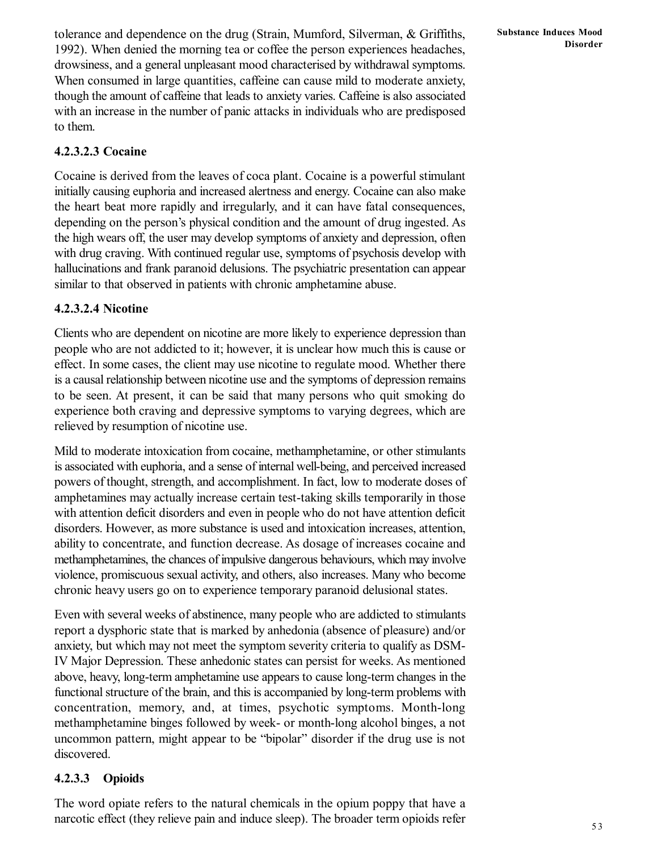tolerance and dependence on the drug (Strain, Mumford, Silverman, & Griffiths, 1992). When denied the morning tea or coffee the person experiences headaches, drowsiness, and a general unpleasant mood characterised by withdrawal symptoms. When consumed in large quantities, caffeine can cause mild to moderate anxiety, though the amount of caffeine that leads to anxiety varies. Caffeine is also associated with an increase in the number of panic attacks in individuals who are predisposed to them.

### **4.2.3.2.3 Cocaine**

Cocaine is derived from the leaves of coca plant. Cocaine is a powerful stimulant initially causing euphoria and increased alertness and energy. Cocaine can also make the heart beat more rapidly and irregularly, and it can have fatal consequences, depending on the person's physical condition and the amount of drug ingested. As the high wears off, the user may develop symptoms of anxiety and depression, often with drug craving. With continued regular use, symptoms of psychosis develop with hallucinations and frank paranoid delusions. The psychiatric presentation can appear similar to that observed in patients with chronic amphetamine abuse.

### **4.2.3.2.4 Nicotine**

Clients who are dependent on nicotine are more likely to experience depression than people who are not addicted to it; however, it is unclear how much this is cause or effect. In some cases, the client may use nicotine to regulate mood. Whether there is a causal relationship between nicotine use and the symptoms of depression remains to be seen. At present, it can be said that many persons who quit smoking do experience both craving and depressive symptoms to varying degrees, which are relieved by resumption of nicotine use.

Mild to moderate intoxication from cocaine, methamphetamine, or other stimulants is associated with euphoria, and a sense of internal well-being, and perceived increased powers of thought, strength, and accomplishment. In fact, low to moderate doses of amphetamines may actually increase certain test-taking skills temporarily in those with attention deficit disorders and even in people who do not have attention deficit disorders. However, as more substance is used and intoxication increases, attention, ability to concentrate, and function decrease. As dosage of increases cocaine and methamphetamines, the chances of impulsive dangerous behaviours, which may involve violence, promiscuous sexual activity, and others, also increases. Many who become chronic heavy users go on to experience temporary paranoid delusional states.

Even with several weeks of abstinence, many people who are addicted to stimulants report a dysphoric state that is marked by anhedonia (absence of pleasure) and/or anxiety, but which may not meet the symptom severity criteria to qualify as DSM-IV Major Depression. These anhedonic states can persist for weeks. As mentioned above, heavy, long-term amphetamine use appears to cause long-term changes in the functional structure of the brain, and this is accompanied by long-term problems with concentration, memory, and, at times, psychotic symptoms. Month-long methamphetamine binges followed by week- or month-long alcohol binges, a not uncommon pattern, might appear to be "bipolar" disorder if the drug use is not discovered.

### **4.2.3.3 Opioids**

The word opiate refers to the natural chemicals in the opium poppy that have a narcotic effect (they relieve pain and induce sleep). The broader term opioids refer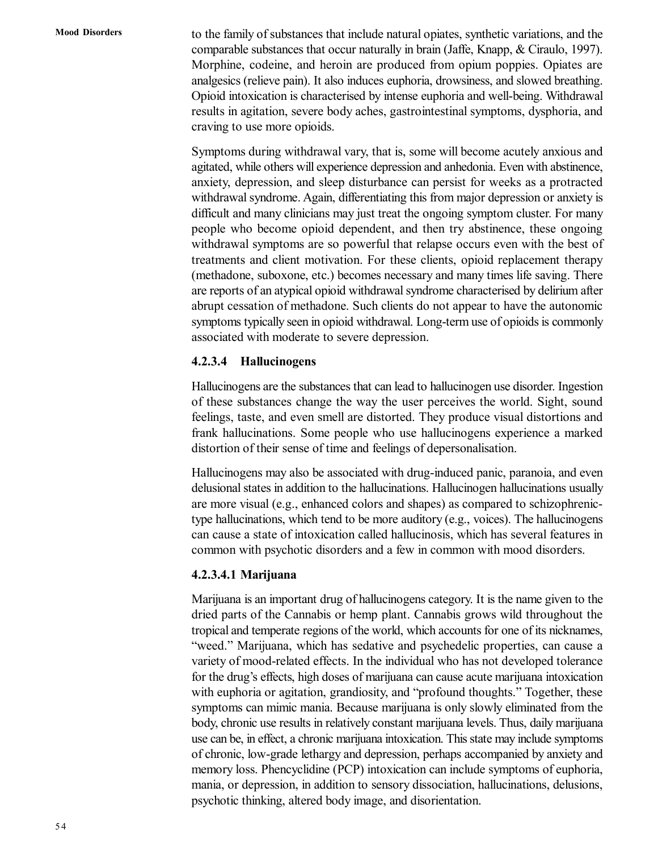to the family of substances that include natural opiates, synthetic variations, and the comparable substances that occur naturally in brain (Jaffe, Knapp, & Ciraulo, 1997). Morphine, codeine, and heroin are produced from opium poppies. Opiates are analgesics (relieve pain). It also induces euphoria, drowsiness, and slowed breathing. Opioid intoxication is characterised by intense euphoria and well-being. Withdrawal results in agitation, severe body aches, gastrointestinal symptoms, dysphoria, and craving to use more opioids.

Symptoms during withdrawal vary, that is, some will become acutely anxious and agitated, while others will experience depression and anhedonia. Even with abstinence, anxiety, depression, and sleep disturbance can persist for weeks as a protracted withdrawal syndrome. Again, differentiating this from major depression or anxiety is difficult and many clinicians may just treat the ongoing symptom cluster. For many people who become opioid dependent, and then try abstinence, these ongoing withdrawal symptoms are so powerful that relapse occurs even with the best of treatments and client motivation. For these clients, opioid replacement therapy (methadone, suboxone, etc.) becomes necessary and many times life saving. There are reports of an atypical opioid withdrawal syndrome characterised by delirium after abrupt cessation of methadone. Such clients do not appear to have the autonomic symptoms typically seen in opioid withdrawal. Long-term use of opioids is commonly associated with moderate to severe depression.

#### **4.2.3.4 Hallucinogens**

Hallucinogens are the substances that can lead to hallucinogen use disorder. Ingestion of these substances change the way the user perceives the world. Sight, sound feelings, taste, and even smell are distorted. They produce visual distortions and frank hallucinations. Some people who use hallucinogens experience a marked distortion of their sense of time and feelings of depersonalisation.

Hallucinogens may also be associated with drug-induced panic, paranoia, and even delusional states in addition to the hallucinations. Hallucinogen hallucinations usually are more visual (e.g., enhanced colors and shapes) as compared to schizophrenictype hallucinations, which tend to be more auditory (e.g., voices). The hallucinogens can cause a state of intoxication called hallucinosis, which has several features in common with psychotic disorders and a few in common with mood disorders.

#### **4.2.3.4.1 Marijuana**

Marijuana is an important drug of hallucinogens category. It is the name given to the dried parts of the Cannabis or hemp plant. Cannabis grows wild throughout the tropical and temperate regions of the world, which accounts for one of its nicknames, "weed." Marijuana, which has sedative and psychedelic properties, can cause a variety of mood-related effects. In the individual who has not developed tolerance for the drug's effects, high doses of marijuana can cause acute marijuana intoxication with euphoria or agitation, grandiosity, and "profound thoughts." Together, these symptoms can mimic mania. Because marijuana is only slowly eliminated from the body, chronic use results in relatively constant marijuana levels. Thus, daily marijuana use can be, in effect, a chronic marijuana intoxication. This state may include symptoms of chronic, low-grade lethargy and depression, perhaps accompanied by anxiety and memory loss. Phencyclidine (PCP) intoxication can include symptoms of euphoria, mania, or depression, in addition to sensory dissociation, hallucinations, delusions, psychotic thinking, altered body image, and disorientation.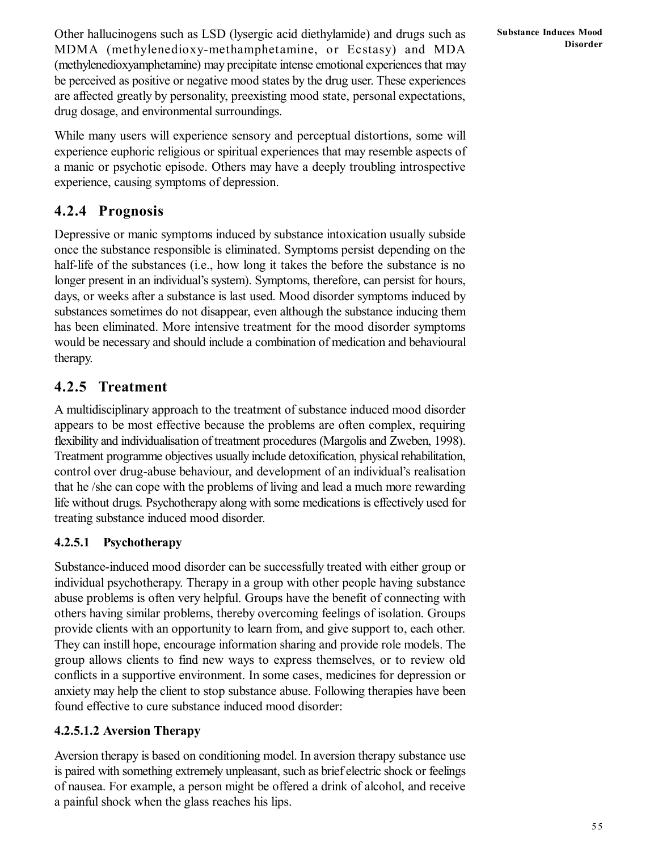Other hallucinogens such as LSD (lysergic acid diethylamide) and drugs such as MDMA (methylenedioxy-methamphetamine, or Ecstasy) and MDA (methylenedioxyamphetamine) may precipitate intense emotional experiences that may be perceived as positive or negative mood states by the drug user. These experiences are affected greatly by personality, preexisting mood state, personal expectations, drug dosage, and environmental surroundings.

While many users will experience sensory and perceptual distortions, some will experience euphoric religious or spiritual experiences that may resemble aspects of a manic or psychotic episode. Others may have a deeply troubling introspective experience, causing symptoms of depression.

## **4.2.4 Prognosis**

Depressive or manic symptoms induced by substance intoxication usually subside once the substance responsible is eliminated. Symptoms persist depending on the half-life of the substances (i.e., how long it takes the before the substance is no longer present in an individual's system). Symptoms, therefore, can persist for hours, days, or weeks after a substance is last used. Mood disorder symptoms induced by substances sometimes do not disappear, even although the substance inducing them has been eliminated. More intensive treatment for the mood disorder symptoms would be necessary and should include a combination of medication and behavioural therapy.

## **4.2.5 Treatment**

A multidisciplinary approach to the treatment of substance induced mood disorder appears to be most effective because the problems are often complex, requiring flexibility and individualisation of treatment procedures (Margolis and Zweben, 1998). Treatment programme objectives usually include detoxification, physical rehabilitation, control over drug-abuse behaviour, and development of an individual's realisation that he /she can cope with the problems of living and lead a much more rewarding life without drugs. Psychotherapy along with some medications is effectively used for treating substance induced mood disorder.

### **4.2.5.1 Psychotherapy**

Substance-induced mood disorder can be successfully treated with either group or individual psychotherapy. Therapy in a group with other people having substance abuse problems is often very helpful. Groups have the benefit of connecting with others having similar problems, thereby overcoming feelings of isolation. Groups provide clients with an opportunity to learn from, and give support to, each other. They can instill hope, encourage information sharing and provide role models. The group allows clients to find new ways to express themselves, or to review old conflicts in a supportive environment. In some cases, medicines for depression or anxiety may help the client to stop substance abuse. Following therapies have been found effective to cure substance induced mood disorder:

### **4.2.5.1.2 Aversion Therapy**

Aversion therapy is based on conditioning model. In aversion therapy substance use is paired with something extremely unpleasant, such as brief electric shock or feelings of nausea. For example, a person might be offered a drink of alcohol, and receive a painful shock when the glass reaches his lips.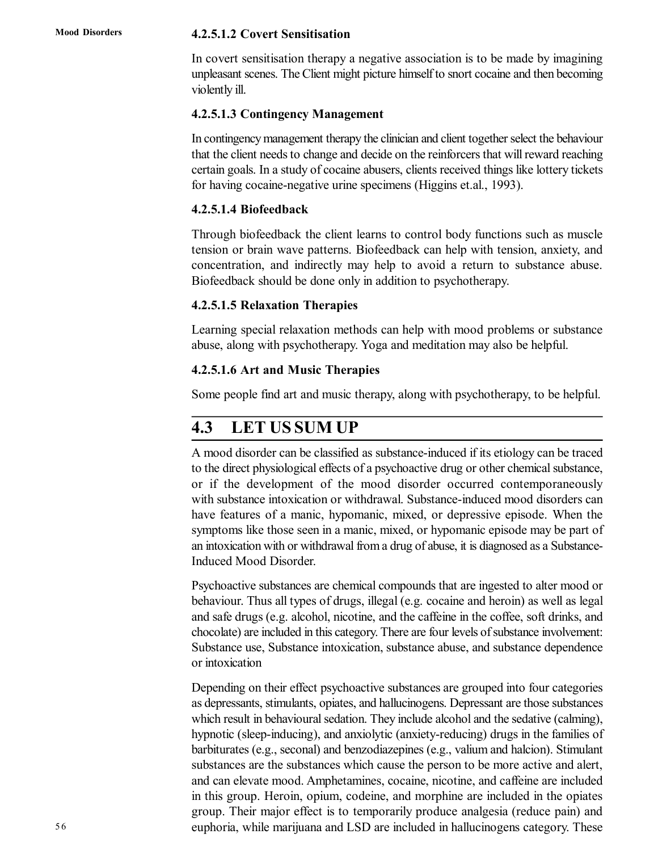#### **4.2.5.1.2 Covert Sensitisation**

In covert sensitisation therapy a negative association is to be made by imagining unpleasant scenes. The Client might picture himself to snort cocaine and then becoming violently ill.

#### **4.2.5.1.3 Contingency Management**

In contingency management therapy the clinician and client together select the behaviour that the client needs to change and decide on the reinforcers that will reward reaching certain goals. In a study of cocaine abusers, clients received things like lottery tickets for having cocaine-negative urine specimens (Higgins et.al., 1993).

#### **4.2.5.1.4 Biofeedback**

Through biofeedback the client learns to control body functions such as muscle tension or brain wave patterns. Biofeedback can help with tension, anxiety, and concentration, and indirectly may help to avoid a return to substance abuse. Biofeedback should be done only in addition to psychotherapy.

#### **4.2.5.1.5 Relaxation Therapies**

Learning special relaxation methods can help with mood problems or substance abuse, along with psychotherapy. Yoga and meditation may also be helpful.

#### **4.2.5.1.6 Art and Music Therapies**

Some people find art and music therapy, along with psychotherapy, to be helpful.

## **4.3 LET US SUM UP**

A mood disorder can be classified as substance-induced if its etiology can be traced to the direct physiological effects of a psychoactive drug or other chemical substance, or if the development of the mood disorder occurred contemporaneously with substance intoxication or withdrawal. Substance-induced mood disorders can have features of a manic, hypomanic, mixed, or depressive episode. When the symptoms like those seen in a manic, mixed, or hypomanic episode may be part of an intoxication with or withdrawal from a drug of abuse, it is diagnosed as a Substance-Induced Mood Disorder.

Psychoactive substances are chemical compounds that are ingested to alter mood or behaviour. Thus all types of drugs, illegal (e.g. cocaine and heroin) as well as legal and safe drugs (e.g. alcohol, nicotine, and the caffeine in the coffee, soft drinks, and chocolate) are included in this category. There are four levels of substance involvement: Substance use, Substance intoxication, substance abuse, and substance dependence or intoxication

Depending on their effect psychoactive substances are grouped into four categories as depressants, stimulants, opiates, and hallucinogens. Depressant are those substances which result in behavioural sedation. They include alcohol and the sedative (calming), hypnotic (sleep-inducing), and anxiolytic (anxiety-reducing) drugs in the families of barbiturates (e.g., seconal) and benzodiazepines (e.g., valium and halcion). Stimulant substances are the substances which cause the person to be more active and alert, and can elevate mood. Amphetamines, cocaine, nicotine, and caffeine are included in this group. Heroin, opium, codeine, and morphine are included in the opiates group. Their major effect is to temporarily produce analgesia (reduce pain) and euphoria, while marijuana and LSD are included in hallucinogens category. These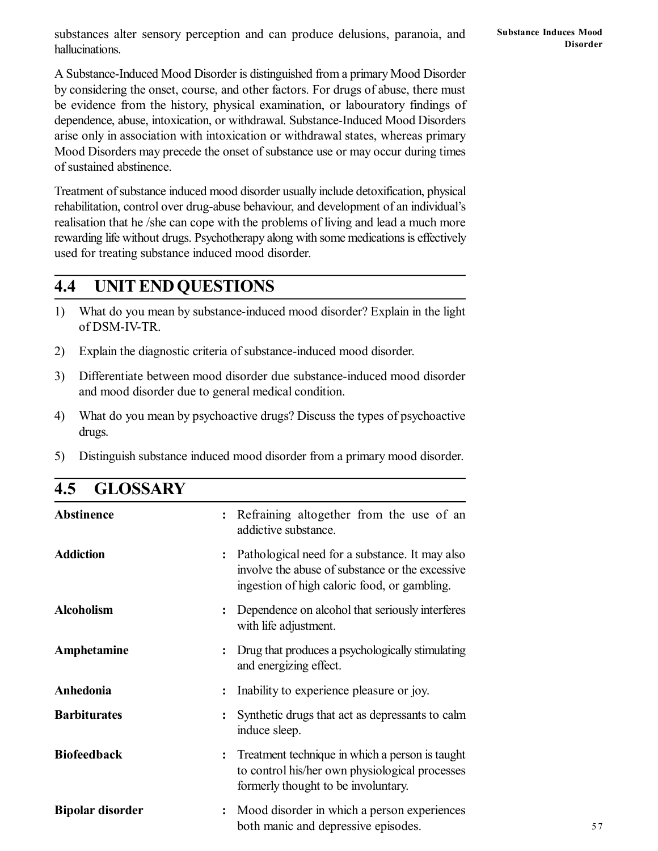substances alter sensory perception and can produce delusions, paranoia, and hallucinations.

A Substance-Induced Mood Disorder is distinguished from a primary Mood Disorder by considering the onset, course, and other factors. For drugs of abuse, there must be evidence from the history, physical examination, or labouratory findings of dependence, abuse, intoxication, or withdrawal. Substance-Induced Mood Disorders arise only in association with intoxication or withdrawal states, whereas primary Mood Disorders may precede the onset of substance use or may occur during times of sustained abstinence.

Treatment of substance induced mood disorder usually include detoxification, physical rehabilitation, control over drug-abuse behaviour, and development of an individual's realisation that he /she can cope with the problems of living and lead a much more rewarding life without drugs. Psychotherapy along with some medications is effectively used for treating substance induced mood disorder.

## **4.4 UNIT END QUESTIONS**

- 1) What do you mean by substance-induced mood disorder? Explain in the light of DSM-IV-TR.
- 2) Explain the diagnostic criteria of substance-induced mood disorder.
- 3) Differentiate between mood disorder due substance-induced mood disorder and mood disorder due to general medical condition.
- 4) What do you mean by psychoactive drugs? Discuss the types of psychoactive drugs.
- 5) Distinguish substance induced mood disorder from a primary mood disorder.

| <b>OLIV</b> WIMM        |                                                                                                                                                            |
|-------------------------|------------------------------------------------------------------------------------------------------------------------------------------------------------|
| <b>Abstinence</b>       | Refraining altogether from the use of an<br>$\ddot{\cdot}$<br>addictive substance.                                                                         |
| <b>Addiction</b>        | Pathological need for a substance. It may also<br>involve the abuse of substance or the excessive<br>ingestion of high caloric food, or gambling.          |
| <b>Alcoholism</b>       | Dependence on alcohol that seriously interferes<br>with life adjustment.                                                                                   |
| Amphetamine             | Drug that produces a psychologically stimulating<br>and energizing effect.                                                                                 |
| Anhedonia               | Inability to experience pleasure or joy.<br>$\ddot{\cdot}$                                                                                                 |
| <b>Barbiturates</b>     | Synthetic drugs that act as depressants to calm<br>induce sleep.                                                                                           |
| <b>Biofeedback</b>      | Treatment technique in which a person is taught<br>$\ddot{\cdot}$<br>to control his/her own physiological processes<br>formerly thought to be involuntary. |
| <b>Bipolar disorder</b> | Mood disorder in which a person experiences<br>both manic and depressive episodes.                                                                         |

# **4.5 GLOSSARY**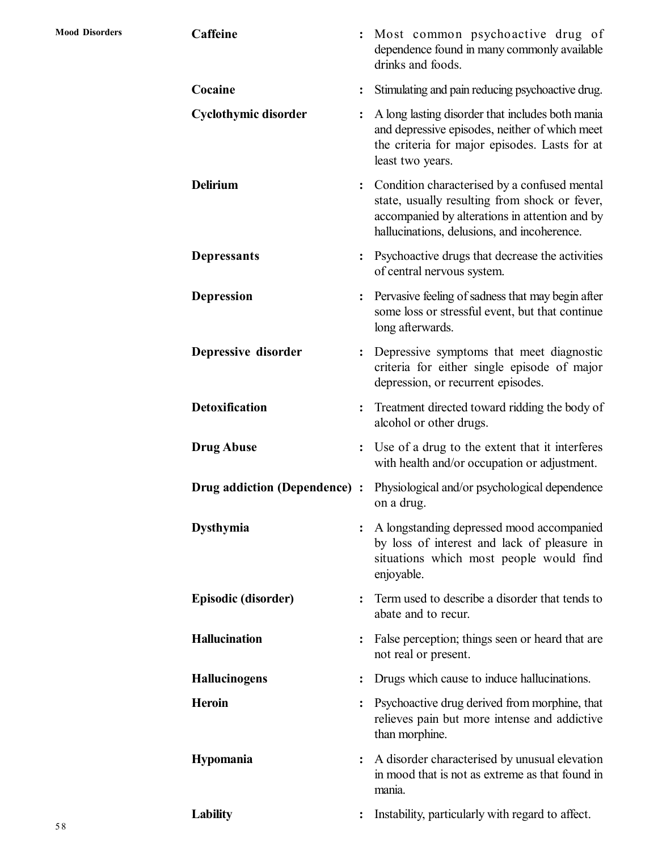| Caffeine                      | $\ddot{\phantom{a}}$ | Most common psychoactive drug of<br>dependence found in many commonly available<br>drinks and foods.                                                                                           |
|-------------------------------|----------------------|------------------------------------------------------------------------------------------------------------------------------------------------------------------------------------------------|
| Cocaine                       |                      | Stimulating and pain reducing psychoactive drug.                                                                                                                                               |
| <b>Cyclothymic disorder</b>   |                      | A long lasting disorder that includes both mania<br>and depressive episodes, neither of which meet<br>the criteria for major episodes. Lasts for at<br>least two years.                        |
| <b>Delirium</b>               | $\ddot{\cdot}$       | Condition characterised by a confused mental<br>state, usually resulting from shock or fever,<br>accompanied by alterations in attention and by<br>hallucinations, delusions, and incoherence. |
| <b>Depressants</b>            |                      | Psychoactive drugs that decrease the activities<br>of central nervous system.                                                                                                                  |
| <b>Depression</b>             |                      | Pervasive feeling of sadness that may begin after<br>some loss or stressful event, but that continue<br>long afterwards.                                                                       |
| Depressive disorder           | $\ddot{\cdot}$       | Depressive symptoms that meet diagnostic<br>criteria for either single episode of major<br>depression, or recurrent episodes.                                                                  |
| <b>Detoxification</b>         |                      | Treatment directed toward ridding the body of<br>alcohol or other drugs.                                                                                                                       |
| <b>Drug Abuse</b>             | $\ddot{\cdot}$       | Use of a drug to the extent that it interferes<br>with health and/or occupation or adjustment.                                                                                                 |
| Drug addiction (Dependence) : |                      | Physiological and/or psychological dependence<br>on a drug.                                                                                                                                    |
| <b>Dysthymia</b>              |                      | A longstanding depressed mood accompanied<br>by loss of interest and lack of pleasure in<br>situations which most people would find<br>enjoyable.                                              |
| Episodic (disorder)           |                      | Term used to describe a disorder that tends to<br>abate and to recur.                                                                                                                          |
| <b>Hallucination</b>          |                      | False perception; things seen or heard that are<br>not real or present.                                                                                                                        |
| <b>Hallucinogens</b>          | $\ddot{\cdot}$       | Drugs which cause to induce hallucinations.                                                                                                                                                    |
| <b>Heroin</b>                 |                      | Psychoactive drug derived from morphine, that<br>relieves pain but more intense and addictive<br>than morphine.                                                                                |
| Hypomania                     | $\ddot{\cdot}$       | A disorder characterised by unusual elevation<br>in mood that is not as extreme as that found in<br>mania.                                                                                     |
| Lability                      |                      | Instability, particularly with regard to affect.                                                                                                                                               |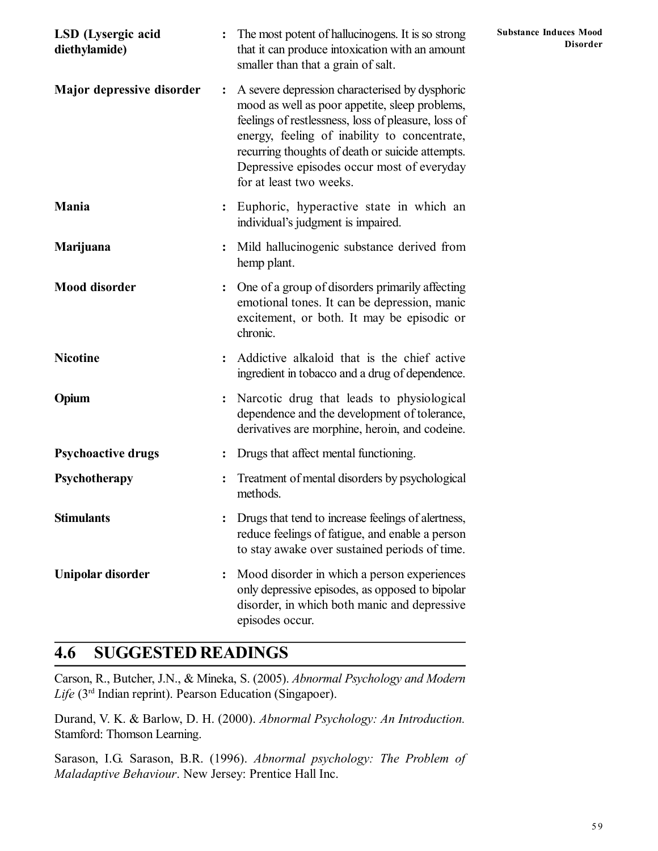| LSD (Lysergic acid<br>diethylamide) |                | <b>Substance Induces Mood</b><br>: The most potent of hallucinogens. It is so strong<br><b>Disorder</b><br>that it can produce intoxication with an amount<br>smaller than that a grain of salt.                                                                                                                                     |  |  |
|-------------------------------------|----------------|--------------------------------------------------------------------------------------------------------------------------------------------------------------------------------------------------------------------------------------------------------------------------------------------------------------------------------------|--|--|
| Major depressive disorder           | $\ddot{\cdot}$ | A severe depression characterised by dysphoric<br>mood as well as poor appetite, sleep problems,<br>feelings of restlessness, loss of pleasure, loss of<br>energy, feeling of inability to concentrate,<br>recurring thoughts of death or suicide attempts.<br>Depressive episodes occur most of everyday<br>for at least two weeks. |  |  |
| <b>Mania</b>                        |                | Euphoric, hyperactive state in which an<br>individual's judgment is impaired.                                                                                                                                                                                                                                                        |  |  |
| Marijuana                           |                | Mild hallucinogenic substance derived from<br>hemp plant.                                                                                                                                                                                                                                                                            |  |  |
| <b>Mood disorder</b>                |                | One of a group of disorders primarily affecting<br>emotional tones. It can be depression, manic<br>excitement, or both. It may be episodic or<br>chronic.                                                                                                                                                                            |  |  |
| <b>Nicotine</b>                     |                | Addictive alkaloid that is the chief active<br>ingredient in tobacco and a drug of dependence.                                                                                                                                                                                                                                       |  |  |
| Opium                               |                | Narcotic drug that leads to physiological<br>dependence and the development of tolerance,<br>derivatives are morphine, heroin, and codeine.                                                                                                                                                                                          |  |  |
| <b>Psychoactive drugs</b>           |                | Drugs that affect mental functioning.                                                                                                                                                                                                                                                                                                |  |  |
| Psychotherapy                       |                | Treatment of mental disorders by psychological<br>methods.                                                                                                                                                                                                                                                                           |  |  |
| <b>Stimulants</b>                   |                | Drugs that tend to increase feelings of alertness,<br>reduce feelings of fatigue, and enable a person<br>to stay awake over sustained periods of time.                                                                                                                                                                               |  |  |
| Unipolar disorder                   |                | Mood disorder in which a person experiences<br>only depressive episodes, as opposed to bipolar<br>disorder, in which both manic and depressive<br>episodes occur.                                                                                                                                                                    |  |  |

# **4.6 SUGGESTED READINGS**

Carson, R., Butcher, J.N., & Mineka, S. (2005). *Abnormal Psychology and Modern Life* (3rd Indian reprint). Pearson Education (Singapoer).

Durand, V. K. & Barlow, D. H. (2000). *Abnormal Psychology: An Introduction.* Stamford: Thomson Learning.

Sarason, I.G. Sarason, B.R. (1996). *Abnormal psychology: The Problem of Maladaptive Behaviour*. New Jersey: Prentice Hall Inc.